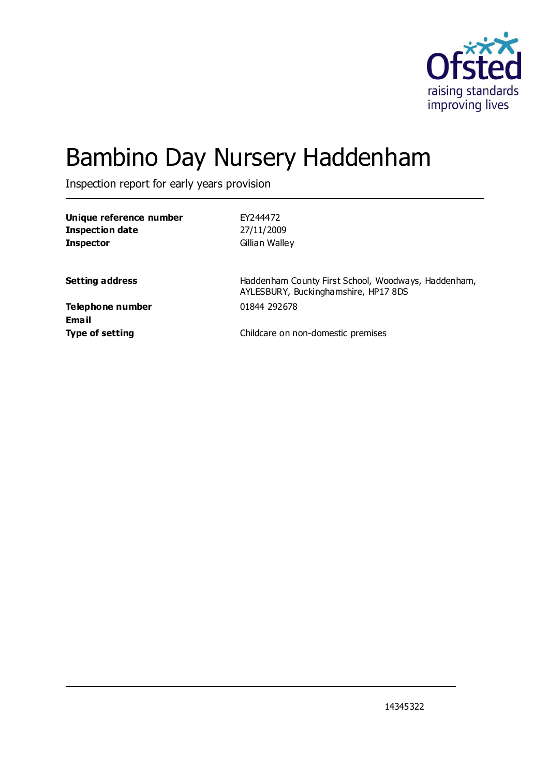

# Bambino Day Nursery Haddenham

Inspection report for early years provision

| Unique reference number | EY244472                                                                                    |
|-------------------------|---------------------------------------------------------------------------------------------|
| <b>Inspection date</b>  | 27/11/2009                                                                                  |
| <b>Inspector</b>        | Gillian Walley                                                                              |
|                         |                                                                                             |
| <b>Setting address</b>  | Haddenham County First School, Woodways, Haddenham,<br>AYLESBURY, Buckinghamshire, HP17 8DS |
| Telephone number        | 01844 292678                                                                                |
| <b>Email</b>            |                                                                                             |
| <b>Type of setting</b>  | Childcare on non-domestic premises                                                          |
|                         |                                                                                             |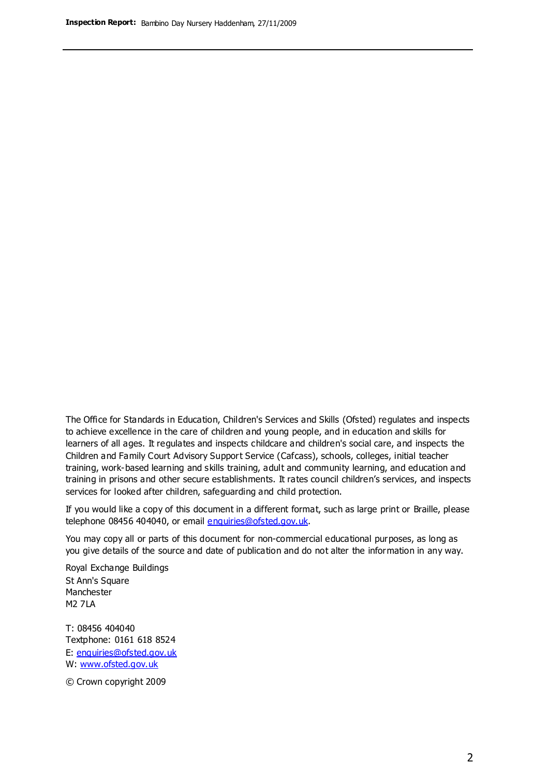The Office for Standards in Education, Children's Services and Skills (Ofsted) regulates and inspects to achieve excellence in the care of children and young people, and in education and skills for learners of all ages. It regulates and inspects childcare and children's social care, and inspects the Children and Family Court Advisory Support Service (Cafcass), schools, colleges, initial teacher training, work-based learning and skills training, adult and community learning, and education and training in prisons and other secure establishments. It rates council children's services, and inspects services for looked after children, safeguarding and child protection.

If you would like a copy of this document in a different format, such as large print or Braille, please telephone 08456 404040, or email enquiries@ofsted.gov.uk.

You may copy all or parts of this document for non-commercial educational purposes, as long as you give details of the source and date of publication and do not alter the information in any way.

Royal Exchange Buildings St Ann's Square Manchester M2 7LA

T: 08456 404040 Textphone: 0161 618 8524 E: enquiries@ofsted.gov.uk W: [www.ofsted.gov.uk](http://www.ofsted.gov.uk/)

© Crown copyright 2009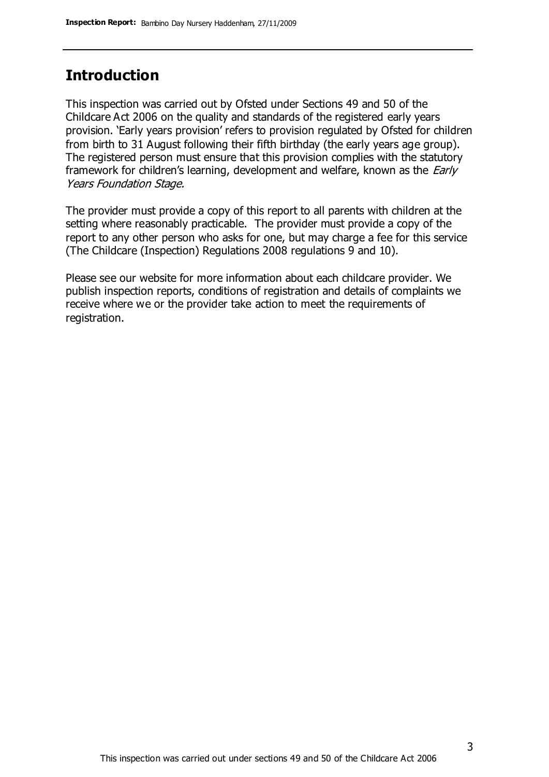# **Introduction**

This inspection was carried out by Ofsted under Sections 49 and 50 of the Childcare Act 2006 on the quality and standards of the registered early years provision. 'Early years provision' refers to provision regulated by Ofsted for children from birth to 31 August following their fifth birthday (the early years age group). The registered person must ensure that this provision complies with the statutory framework for children's learning, development and welfare, known as the *Early* Years Foundation Stage.

The provider must provide a copy of this report to all parents with children at the setting where reasonably practicable. The provider must provide a copy of the report to any other person who asks for one, but may charge a fee for this service (The Childcare (Inspection) Regulations 2008 regulations 9 and 10).

Please see our website for more information about each childcare provider. We publish inspection reports, conditions of registration and details of complaints we receive where we or the provider take action to meet the requirements of registration.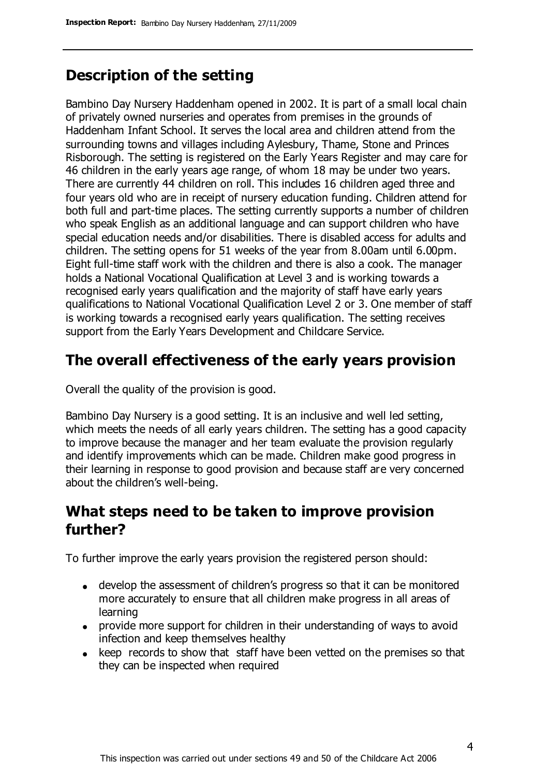# **Description of the setting**

Bambino Day Nursery Haddenham opened in 2002. It is part of a small local chain of privately owned nurseries and operates from premises in the grounds of Haddenham Infant School. It serves the local area and children attend from the surrounding towns and villages including Aylesbury, Thame, Stone and Princes Risborough. The setting is registered on the Early Years Register and may care for 46 children in the early years age range, of whom 18 may be under two years. There are currently 44 children on roll. This includes 16 children aged three and four years old who are in receipt of nursery education funding. Children attend for both full and part-time places. The setting currently supports a number of children who speak English as an additional language and can support children who have special education needs and/or disabilities. There is disabled access for adults and children. The setting opens for 51 weeks of the year from 8.00am until 6.00pm. Eight full-time staff work with the children and there is also a cook. The manager holds a National Vocational Qualification at Level 3 and is working towards a recognised early years qualification and the majority of staff have early years qualifications to National Vocational Qualification Level 2 or 3. One member of staff is working towards a recognised early years qualification. The setting receives support from the Early Years Development and Childcare Service.

### **The overall effectiveness of the early years provision**

Overall the quality of the provision is good.

Bambino Day Nursery is a good setting. It is an inclusive and well led setting, which meets the needs of all early years children. The setting has a good capacity to improve because the manager and her team evaluate the provision regularly and identify improvements which can be made. Children make good progress in their learning in response to good provision and because staff are very concerned about the children's well-being.

# **What steps need to be taken to improve provision further?**

To further improve the early years provision the registered person should:

- develop the assessment of children's progress so that it can be monitored more accurately to ensure that all children make progress in all areas of learning
- provide more support for children in their understanding of ways to avoid infection and keep themselves healthy
- keep records to show that staff have been vetted on the premises so that they can be inspected when required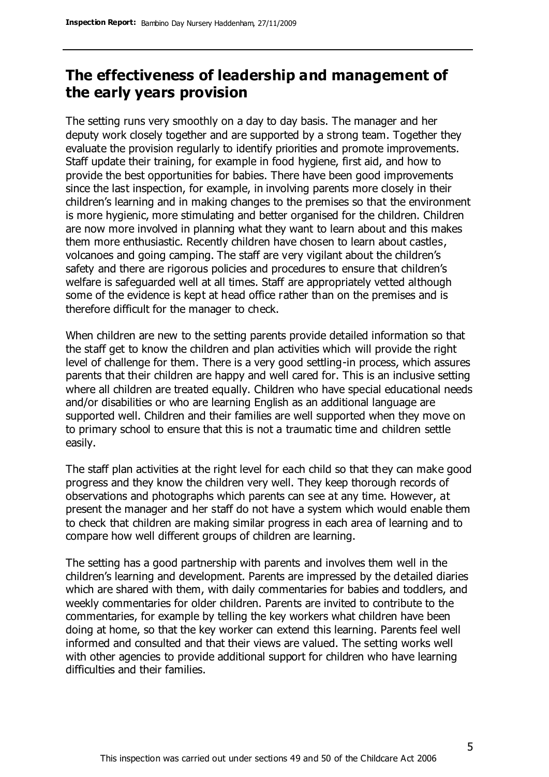# **The effectiveness of leadership and management of the early years provision**

The setting runs very smoothly on a day to day basis. The manager and her deputy work closely together and are supported by a strong team. Together they evaluate the provision regularly to identify priorities and promote improvements. Staff update their training, for example in food hygiene, first aid, and how to provide the best opportunities for babies. There have been good improvements since the last inspection, for example, in involving parents more closely in their children's learning and in making changes to the premises so that the environment is more hygienic, more stimulating and better organised for the children. Children are now more involved in planning what they want to learn about and this makes them more enthusiastic. Recently children have chosen to learn about castles, volcanoes and going camping. The staff are very vigilant about the children's safety and there are rigorous policies and procedures to ensure that children's welfare is safeguarded well at all times. Staff are appropriately vetted although some of the evidence is kept at head office rather than on the premises and is therefore difficult for the manager to check.

When children are new to the setting parents provide detailed information so that the staff get to know the children and plan activities which will provide the right level of challenge for them. There is a very good settling-in process, which assures parents that their children are happy and well cared for. This is an inclusive setting where all children are treated equally. Children who have special educational needs and/or disabilities or who are learning English as an additional language are supported well. Children and their families are well supported when they move on to primary school to ensure that this is not a traumatic time and children settle easily.

The staff plan activities at the right level for each child so that they can make good progress and they know the children very well. They keep thorough records of observations and photographs which parents can see at any time. However, at present the manager and her staff do not have a system which would enable them to check that children are making similar progress in each area of learning and to compare how well different groups of children are learning.

The setting has a good partnership with parents and involves them well in the children's learning and development. Parents are impressed by the detailed diaries which are shared with them, with daily commentaries for babies and toddlers, and weekly commentaries for older children. Parents are invited to contribute to the commentaries, for example by telling the key workers what children have been doing at home, so that the key worker can extend this learning. Parents feel well informed and consulted and that their views are valued. The setting works well with other agencies to provide additional support for children who have learning difficulties and their families.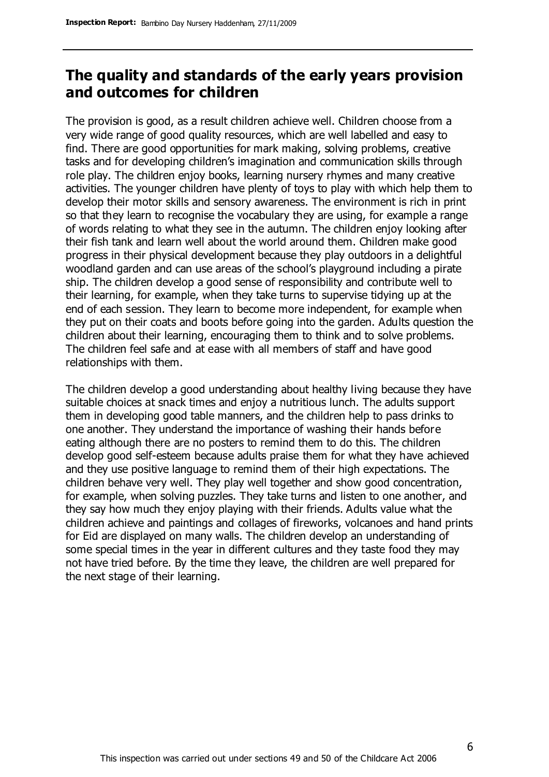# **The quality and standards of the early years provision and outcomes for children**

The provision is good, as a result children achieve well. Children choose from a very wide range of good quality resources, which are well labelled and easy to find. There are good opportunities for mark making, solving problems, creative tasks and for developing children's imagination and communication skills through role play. The children enjoy books, learning nursery rhymes and many creative activities. The younger children have plenty of toys to play with which help them to develop their motor skills and sensory awareness. The environment is rich in print so that they learn to recognise the vocabulary they are using, for example a range of words relating to what they see in the autumn. The children enjoy looking after their fish tank and learn well about the world around them. Children make good progress in their physical development because they play outdoors in a delightful woodland garden and can use areas of the school's playground including a pirate ship. The children develop a good sense of responsibility and contribute well to their learning, for example, when they take turns to supervise tidying up at the end of each session. They learn to become more independent, for example when they put on their coats and boots before going into the garden. Adults question the children about their learning, encouraging them to think and to solve problems. The children feel safe and at ease with all members of staff and have good relationships with them.

The children develop a good understanding about healthy living because they have suitable choices at snack times and enjoy a nutritious lunch. The adults support them in developing good table manners, and the children help to pass drinks to one another. They understand the importance of washing their hands before eating although there are no posters to remind them to do this. The children develop good self-esteem because adults praise them for what they have achieved and they use positive language to remind them of their high expectations. The children behave very well. They play well together and show good concentration, for example, when solving puzzles. They take turns and listen to one another, and they say how much they enjoy playing with their friends. Adults value what the children achieve and paintings and collages of fireworks, volcanoes and hand prints for Eid are displayed on many walls. The children develop an understanding of some special times in the year in different cultures and they taste food they may not have tried before. By the time they leave, the children are well prepared for the next stage of their learning.